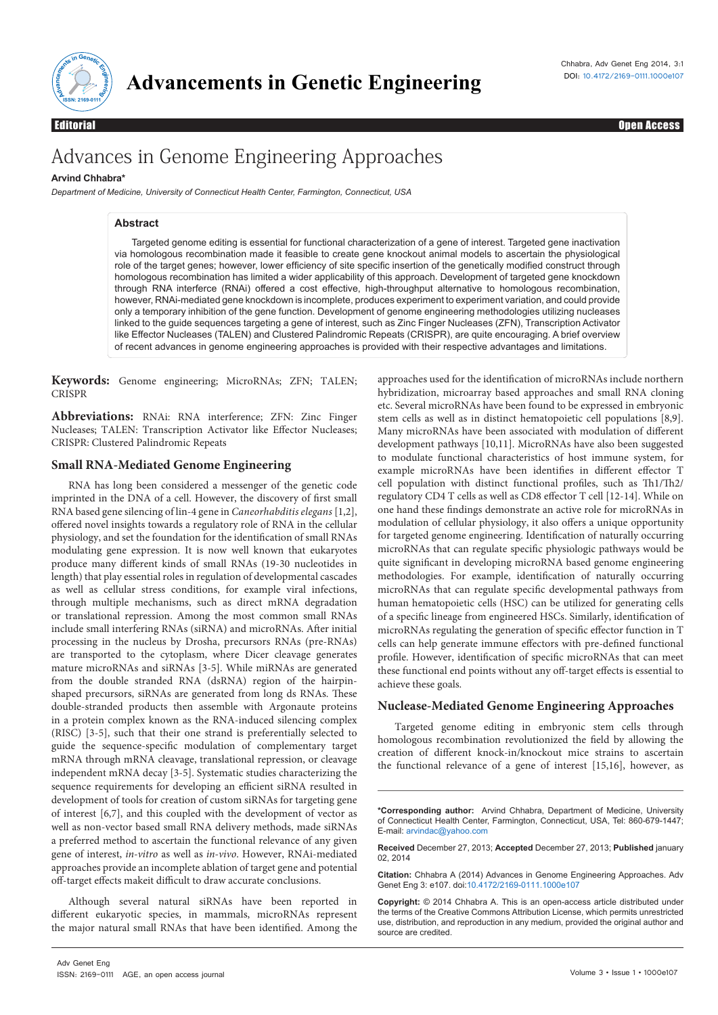

Editorial Open Access

# Advances in Genome Engineering Approaches

# **Arvind Chhabra\***

*Department of Medicine, University of Connecticut Health Center, Farmington, Connecticut, USA*

# **Abstract**

Targeted genome editing is essential for functional characterization of a gene of interest. Targeted gene inactivation via homologous recombination made it feasible to create gene knockout animal models to ascertain the physiological homologous recombination has limited a wider applicability of this approach. Development of targeted gene knockdown through RNA interferce (RNAi) offered a cost effective, high-throughput alternative to homologous recombination, however, RNAi-mediated gene knockdown is incomplete, produces experiment to experiment variation, and could provide only a temporary inhibition of the gene function. Development of genome engineering methodologies utilizing nucleases linked to the guide sequences targeting a gene of interest, such as Zinc Finger Nucleases (ZFN), Transcription Activator like Effector Nucleases (TALEN) and Clustered Palindromic Repeats (CRISPR), are quite encouraging. A brief overview of recent advances in genome engineering approaches is provided with their respective advantages and limitations. role of the target genes; however, lower efficiency of site specific insertion of the genetically modified construct through

**Keywords:** Genome engineering; MicroRNAs; ZFN; TALEN; CRISPR

**Abbreviations:** RNAi: RNA interference; ZFN: Zinc Finger Nucleases; TALEN: Transcription Activator like Effector Nucleases; CRISPR: Clustered Palindromic Repeats

## **Small RNA-Mediated Genome Engineering**

RNA has long been considered a messenger of the genetic code imprinted in the DNA of a cell. However, the discovery of first small offered novel insights towards a regulatory role of RNA in the cellular physiology, and set the foundation for the identification of small RNAs modulating gene expression. It is now well known that eukaryotes produce many different kinds of small RNAs (19-30 nucleotides in length) that play essential roles in regulation of developmental cascades as well as cellular stress conditions, for example viral infections, through multiple mechanisms, such as direct mRNA degradation or translational repression. Among the most common small RNAs include small interfering RNAs (siRNA) and microRNAs. After initial processing in the nucleus by Drosha, precursors RNAs (pre-RNAs) are transported to the cytoplasm, where Dicer cleavage generates mature microRNAs and siRNAs [3-5]. While miRNAs are generated from the double stranded RNA (dsRNA) region of the hairpinshaped precursors, siRNAs are generated from long ds RNAs. These double-stranded products then assemble with Argonaute proteins in a protein complex known as the RNA-induced silencing complex (RISC) [3-5], such that their one strand is preferentially selected to guide the sequence-specific modulation of complementary target mRNA through mRNA cleavage, translational repression, or cleavage independent mRNA decay [3-5]. Systematic studies characterizing the sequence requirements for developing an efficient siRNA resulted in development of tools for creation of custom siRNAs for targeting gene of interest [6,7], and this coupled with the development of vector as well as non-vector based small RNA delivery methods, made siRNAs a preferred method to ascertain the functional relevance of any given gene of interest, *in-vitro* as well as *in-vivo*. However, RNAi-mediated approaches provide an incomplete ablation of target gene and potential off-target effects makeit difficult to draw accurate conclusions. RNA based gene silencing of lin-4 gene in *Caneorhabditis elegans* [1,2],

Although several natural siRNAs have been reported in different eukaryotic species, in mammals, microRNAs represent the major natural small RNAs that have been identified. Among the approaches used for the identification of microRNAs include northern hybridization, microarray based approaches and small RNA cloning etc. Several microRNAs have been found to be expressed in embryonic stem cells as well as in distinct hematopoietic cell populations [8,9]. Many microRNAs have been associated with modulation of different development pathways [10,11]. MicroRNAs have also been suggested to modulate functional characteristics of host immune system, for example microRNAs have been identifies in different effector T cell population with distinct functional profiles, such as Th1/Th2/ regulatory CD4 T cells as well as CD8 effector T cell [12-14]. While on one hand these findings demonstrate an active role for microRNAs in modulation of cellular physiology, it also offers a unique opportunity for targeted genome engineering. Identification of naturally occurring microRNAs that can regulate specific physiologic pathways would be quite significant in developing microRNA based genome engineering methodologies. For example, identification of naturally occurring microRNAs that can regulate specific developmental pathways from human hematopoietic cells (HSC) can be utilized for generating cells of a specific lineage from engineered HSCs. Similarly, identification of microRNAs regulating the generation of specific effector function in T cells can help generate immune effectors with pre-defined functional profile. However, identification of specific microRNAs that can meet these functional end points without any off-target effects is essential to achieve these goals.

# **Nuclease-Mediated Genome Engineering Approaches**

Targeted genome editing in embryonic stem cells through homologous recombination revolutionized the field by allowing the creation of different knock-in/knockout mice strains to ascertain the functional relevance of a gene of interest [15,16], however, as

**Citation:** Chhabra A (2014) Advances in Genome Engineering Approaches. Adv Genet Eng 3: e107. doi:10.4172/2169-0111.1000e107

**Copyright:** © 2014 Chhabra A. This is an open-access article distributed under the terms of the Creative Commons Attribution License, which permits unrestricted use, distribution, and reproduction in any medium, provided the original author and source are credited.

**<sup>\*</sup>Corresponding author:** Arvind Chhabra, Department of Medicine, University of Connecticut Health Center, Farmington, Connecticut, USA, Tel: 860-679-1447; E-mail: arvindac@yahoo.com

**Received** December 27, 2013; **Accepted** December 27, 2013; **Published** january 02, 2014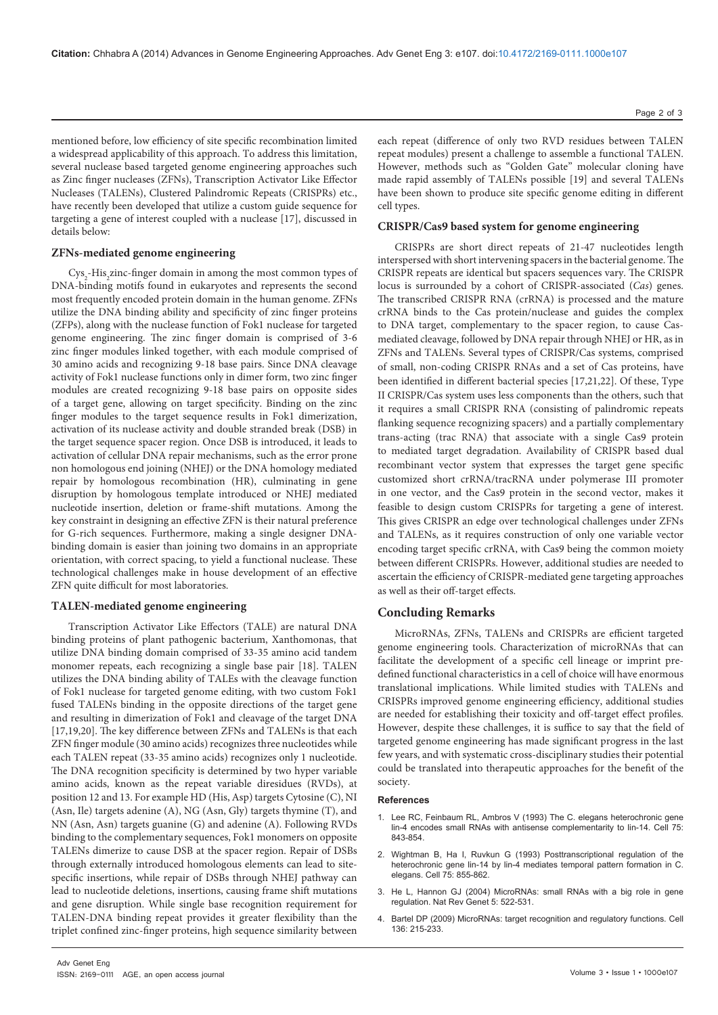mentioned before, low efficiency of site specific recombination limited a widespread applicability of this approach. To address this limitation, several nuclease based targeted genome engineering approaches such as Zinc finger nucleases (ZFNs), Transcription Activator Like Effector Nucleases (TALENs), Clustered Palindromic Repeats (CRISPRs) etc., have recently been developed that utilize a custom guide sequence for targeting a gene of interest coupled with a nuclease [17], discussed in details below:

#### **ZFNs-mediated genome engineering**

 $\mathrm{Cys}_2\text{-His}_2$ zinc-finger domain in among the most common types of DNA-binding motifs found in eukaryotes and represents the second most frequently encoded protein domain in the human genome. ZFNs utilize the DNA binding ability and specificity of zinc finger proteins (ZFPs), along with the nuclease function of Fok1 nuclease for targeted genome engineering. The zinc finger domain is comprised of 3-6 zinc finger modules linked together, with each module comprised of 30 amino acids and recognizing 9-18 base pairs. Since DNA cleavage activity of Fok1 nuclease functions only in dimer form, two zinc finger modules are created recognizing 9-18 base pairs on opposite sides of a target gene, allowing on target specificity. Binding on the zinc finger modules to the target sequence results in Fok1 dimerization, activation of its nuclease activity and double stranded break (DSB) in the target sequence spacer region. Once DSB is introduced, it leads to activation of cellular DNA repair mechanisms, such as the error prone non homologous end joining (NHEJ) or the DNA homology mediated repair by homologous recombination (HR), culminating in gene disruption by homologous template introduced or NHEJ mediated nucleotide insertion, deletion or frame-shift mutations. Among the key constraint in designing an effective ZFN is their natural preference for G-rich sequences. Furthermore, making a single designer DNAbinding domain is easier than joining two domains in an appropriate orientation, with correct spacing, to yield a functional nuclease. These technological challenges make in house development of an effective ZFN quite difficult for most laboratories.

## **TALEN-mediated genome engineering**

binding proteins of plant pathogenic bacterium, Xanthomonas, that utilize DNA binding domain comprised of 33-35 amino acid tandem monomer repeats, each recognizing a single base pair [18]. TALEN utilizes the DNA binding ability of TALEs with the cleavage function of Fok1 nuclease for targeted genome editing, with two custom Fok1 fused TALENs binding in the opposite directions of the target gene and resulting in dimerization of Fok1 and cleavage of the target DNA [17,19,20]. The key difference between ZFNs and TALENs is that each ZFN finger module (30 amino acids) recognizes three nucleotides while each TALEN repeat (33-35 amino acids) recognizes only 1 nucleotide. The DNA recognition specificity is determined by two hyper variable amino acids, known as the repeat variable diresidues (RVDs), at position 12 and 13. For example HD (His, Asp) targets Cytosine (C), NI (Asn, Ile) targets adenine (A), NG (Asn, Gly) targets thymine (T), and NN (Asn, Asn) targets guanine (G) and adenine (A). Following RVDs binding to the complementary sequences, Fok1 monomers on opposite TALENs dimerize to cause DSB at the spacer region. Repair of DSBs through externally introduced homologous elements can lead to sitespecific insertions, while repair of DSBs through NHEJ pathway can lead to nucleotide deletions, insertions, causing frame shift mutations and gene disruption. While single base recognition requirement for TALEN-DNA binding repeat provides it greater flexibility than the triplet confined zinc-finger proteins, high sequence similarity between Transcription Activator Like Effectors (TALE) are natural DNA

each repeat (difference of only two RVD residues between TALEN repeat modules) present a challenge to assemble a functional TALEN. However, methods such as "Golden Gate" molecular cloning have made rapid assembly of TALENs possible [19] and several TALENs have been shown to produce site specific genome editing in different cell types.

### **CRISPR/Cas9 based system for genome engineering**

CRISPRs are short direct repeats of 21-47 nucleotides length interspersed with short intervening spacers in the bacterial genome. The CRISPR repeats are identical but spacers sequences vary. The CRISPR locus is surrounded by a cohort of CRISPR-associated (*Cas*) genes. The transcribed CRISPR RNA (crRNA) is processed and the mature crRNA binds to the Cas protein/nuclease and guides the complex to DNA target, complementary to the spacer region, to cause Casmediated cleavage, followed by DNA repair through NHEJ or HR, as in ZFNs and TALENs. Several types of CRISPR/Cas systems, comprised of small, non-coding CRISPR RNAs and a set of Cas proteins, have been identified in different bacterial species [17,21,22]. Of these, Type II CRISPR/Cas system uses less components than the others, such that it requires a small CRISPR RNA (consisting of palindromic repeats flanking sequence recognizing spacers) and a partially complementary trans-acting (trac RNA) that associate with a single Cas9 protein to mediated target degradation. Availability of CRISPR based dual customized short crRNA/tracRNA under polymerase III promoter in one vector, and the Cas9 protein in the second vector, makes it feasible to design custom CRISPRs for targeting a gene of interest. This gives CRISPR an edge over technological challenges under ZFNs and TALENs, as it requires construction of only one variable vector encoding target specific crRNA, with Cas9 being the common moiety between different CRISPRs. However, additional studies are needed to ascertain the efficiency of CRISPR-mediated gene targeting approaches as well as their off-target effects. recombinant vector system that expresses the target gene specific

## **Concluding Remarks**

MicroRNAs, ZFNs, TALENs and CRISPRs are efficient targeted genome engineering tools. Characterization of microRNAs that can facilitate the development of a specific cell lineage or imprint predefined functional characteristics in a cell of choice will have enormous translational implications. While limited studies with TALENs and CRISPRs improved genome engineering efficiency, additional studies are needed for establishing their toxicity and off-target effect profiles. However, despite these challenges, it is suffice to say that the field of targeted genome engineering has made significant progress in the last few years, and with systematic cross-disciplinary studies their potential could be translated into therapeutic approaches for the benefit of the society.

#### **References**

- Lee RC, Feinbaum RL, Ambros V (1993) The C. elegans heterochronic gene lin-4 encodes small RNAs with antisense complementarity to lin-14. Cell 75: 843-854.
- 2. [Wightman B, Ha I, Ruvkun G \(1993\) Posttranscriptional regulation of the](http://www.ncbi.nlm.nih.gov/pubmed/8252622)  heterochronic gene lin-14 by lin-4 mediates temporal pattern formation in C. elegans. Cell 75: 855-862.
- 3. [He L, Hannon GJ \(2004\) MicroRNAs: small RNAs with a big role in gene](http://www.ncbi.nlm.nih.gov/pubmed/15211354)  regulation. Nat Rev Genet 5: 522-531.
- 4. [Bartel DP \(2009\) MicroRNAs: target recognition and regulatory functions. Cell](http://www.ncbi.nlm.nih.gov/pubmed/19167326)  136: 215-233.